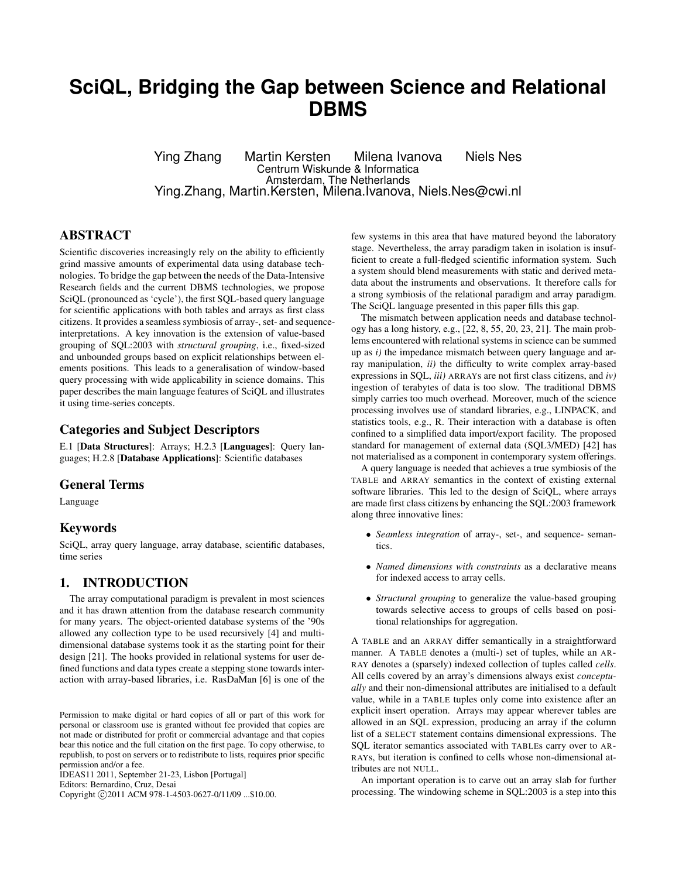# **SciQL, Bridging the Gap between Science and Relational DBMS**

Ying Zhang Martin Kersten Milena Ivanova Niels Nes Centrum Wiskunde & Informatica Amsterdam, The Netherlands Ying.Zhang, Martin.Kersten, Milena.Ivanova, Niels.Nes@cwi.nl

# ABSTRACT

Scientific discoveries increasingly rely on the ability to efficiently grind massive amounts of experimental data using database technologies. To bridge the gap between the needs of the Data-Intensive Research fields and the current DBMS technologies, we propose SciQL (pronounced as 'cycle'), the first SQL-based query language for scientific applications with both tables and arrays as first class citizens. It provides a seamless symbiosis of array-, set- and sequenceinterpretations. A key innovation is the extension of value-based grouping of SQL:2003 with *structural grouping*, i.e., fixed-sized and unbounded groups based on explicit relationships between elements positions. This leads to a generalisation of window-based query processing with wide applicability in science domains. This paper describes the main language features of SciQL and illustrates it using time-series concepts.

# Categories and Subject Descriptors

E.1 [Data Structures]: Arrays; H.2.3 [Languages]: Query languages; H.2.8 [Database Applications]: Scientific databases

# General Terms

Language

#### Keywords

SciQL, array query language, array database, scientific databases, time series

# 1. INTRODUCTION

The array computational paradigm is prevalent in most sciences and it has drawn attention from the database research community for many years. The object-oriented database systems of the '90s allowed any collection type to be used recursively [4] and multidimensional database systems took it as the starting point for their design [21]. The hooks provided in relational systems for user defined functions and data types create a stepping stone towards interaction with array-based libraries, i.e. RasDaMan [6] is one of the

IDEAS11 2011, September 21-23, Lisbon [Portugal]

Editors: Bernardino, Cruz, Desai

Copyright C 2011 ACM 978-1-4503-0627-0/11/09 ... \$10.00.

few systems in this area that have matured beyond the laboratory stage. Nevertheless, the array paradigm taken in isolation is insufficient to create a full-fledged scientific information system. Such a system should blend measurements with static and derived metadata about the instruments and observations. It therefore calls for a strong symbiosis of the relational paradigm and array paradigm. The SciQL language presented in this paper fills this gap.

The mismatch between application needs and database technology has a long history, e.g., [22, 8, 55, 20, 23, 21]. The main problems encountered with relational systems in science can be summed up as *i)* the impedance mismatch between query language and array manipulation, *ii)* the difficulty to write complex array-based expressions in SQL, *iii)* ARRAYs are not first class citizens, and *iv)* ingestion of terabytes of data is too slow. The traditional DBMS simply carries too much overhead. Moreover, much of the science processing involves use of standard libraries, e.g., LINPACK, and statistics tools, e.g., R. Their interaction with a database is often confined to a simplified data import/export facility. The proposed standard for management of external data (SQL3/MED) [42] has not materialised as a component in contemporary system offerings.

A query language is needed that achieves a true symbiosis of the TABLE and ARRAY semantics in the context of existing external software libraries. This led to the design of SciQL, where arrays are made first class citizens by enhancing the SQL:2003 framework along three innovative lines:

- *Seamless integration* of array-, set-, and sequence- semantics.
- *Named dimensions with constraints* as a declarative means for indexed access to array cells.
- *Structural grouping* to generalize the value-based grouping towards selective access to groups of cells based on positional relationships for aggregation.

A TABLE and an ARRAY differ semantically in a straightforward manner. A TABLE denotes a (multi-) set of tuples, while an AR-RAY denotes a (sparsely) indexed collection of tuples called *cells*. All cells covered by an array's dimensions always exist *conceptually* and their non-dimensional attributes are initialised to a default value, while in a TABLE tuples only come into existence after an explicit insert operation. Arrays may appear wherever tables are allowed in an SQL expression, producing an array if the column list of a SELECT statement contains dimensional expressions. The SQL iterator semantics associated with TABLEs carry over to AR-RAYs, but iteration is confined to cells whose non-dimensional attributes are not NULL.

An important operation is to carve out an array slab for further processing. The windowing scheme in SQL:2003 is a step into this

Permission to make digital or hard copies of all or part of this work for personal or classroom use is granted without fee provided that copies are not made or distributed for profit or commercial advantage and that copies bear this notice and the full citation on the first page. To copy otherwise, to republish, to post on servers or to redistribute to lists, requires prior specific permission and/or a fee.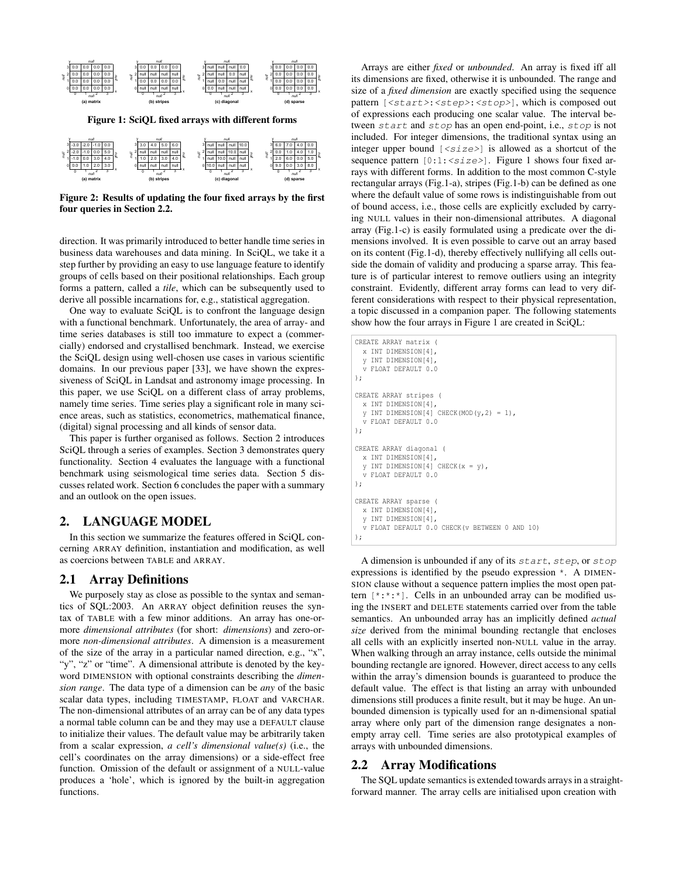

Figure 2: Results of updating the four fixed arrays by the first four queries in Section 2.2.

direction. It was primarily introduced to better handle time series in business data warehouses and data mining. In SciQL, we take it a step further by providing an easy to use language feature to identify groups of cells based on their positional relationships. Each group forms a pattern, called a *tile*, which can be subsequently used to derive all possible incarnations for, e.g., statistical aggregation.

One way to evaluate SciQL is to confront the language design with a functional benchmark. Unfortunately, the area of array- and time series databases is still too immature to expect a (commercially) endorsed and crystallised benchmark. Instead, we exercise the SciQL design using well-chosen use cases in various scientific domains. In our previous paper [33], we have shown the expressiveness of SciQL in Landsat and astronomy image processing. In this paper, we use SciQL on a different class of array problems, namely time series. Time series play a significant role in many science areas, such as statistics, econometrics, mathematical finance, (digital) signal processing and all kinds of sensor data.

This paper is further organised as follows. Section 2 introduces SciQL through a series of examples. Section 3 demonstrates query functionality. Section 4 evaluates the language with a functional benchmark using seismological time series data. Section 5 discusses related work. Section 6 concludes the paper with a summary and an outlook on the open issues.

# 2. LANGUAGE MODEL

In this section we summarize the features offered in SciQL concerning ARRAY definition, instantiation and modification, as well as coercions between TABLE and ARRAY.

# 2.1 Array Definitions

We purposely stay as close as possible to the syntax and semantics of SQL:2003. An ARRAY object definition reuses the syntax of TABLE with a few minor additions. An array has one-ormore *dimensional attributes* (for short: *dimensions*) and zero-ormore *non-dimensional attributes*. A dimension is a measurement of the size of the array in a particular named direction, e.g., "x", "y", "z" or "time". A dimensional attribute is denoted by the keyword DIMENSION with optional constraints describing the *dimension range*. The data type of a dimension can be *any* of the basic scalar data types, including TIMESTAMP, FLOAT and VARCHAR. The non-dimensional attributes of an array can be of any data types a normal table column can be and they may use a DEFAULT clause to initialize their values. The default value may be arbitrarily taken from a scalar expression, *a cell's dimensional value(s)* (i.e., the cell's coordinates on the array dimensions) or a side-effect free function. Omission of the default or assignment of a NULL-value produces a 'hole', which is ignored by the built-in aggregation functions.

Arrays are either *fixed* or *unbounded*. An array is fixed iff all its dimensions are fixed, otherwise it is unbounded. The range and size of a *fixed dimension* are exactly specified using the sequence pattern [<start>:<step>:<stop>], which is composed out of expressions each producing one scalar value. The interval between start and stop has an open end-point, i.e., stop is not included. For integer dimensions, the traditional syntax using an integer upper bound  $\left[ \langle \text{size} \rangle \right]$  is allowed as a shortcut of the sequence pattern  $[0:1: \leq size \geq]$ . Figure 1 shows four fixed arrays with different forms. In addition to the most common C-style rectangular arrays (Fig.1-a), stripes (Fig.1-b) can be defined as one where the default value of some rows is indistinguishable from out of bound access, i.e., those cells are explicitly excluded by carrying NULL values in their non-dimensional attributes. A diagonal array (Fig.1-c) is easily formulated using a predicate over the dimensions involved. It is even possible to carve out an array based on its content (Fig.1-d), thereby effectively nullifying all cells outside the domain of validity and producing a sparse array. This feature is of particular interest to remove outliers using an integrity constraint. Evidently, different array forms can lead to very different considerations with respect to their physical representation, a topic discussed in a companion paper. The following statements show how the four arrays in Figure 1 are created in SciQL:

```
CREATE ARRAY matrix (
 x INT DIMENSION[4],
 y INT DIMENSION[4],
   FLOAT DEFAULT 0.0
);
CREATE ARRAY stripes (
 x INT DIMENSION[4],
 y INT DIMENSION[4] CHECK(MOD(y, 2) = 1),
   FLOAT DEFAULT 0.0
);
CREATE ARRAY diagonal (
 x INT DIMENSION[4],
 y INT DIMENSION[4] CHECK(x = y),
 v FLOAT DEFAULT 0.0
);
CREATE ARRAY sparse (
 x INT DIMENSION[4],
 y INT DIMENSION[4],
 v FLOAT DEFAULT 0.0 CHECK(v BETWEEN 0 AND 10)
);
```
A dimension is unbounded if any of its start, step, or stop expressions is identified by the pseudo expression \*. A DIMEN-SION clause without a sequence pattern implies the most open pattern [\*:\*:\*]. Cells in an unbounded array can be modified using the INSERT and DELETE statements carried over from the table semantics. An unbounded array has an implicitly defined *actual size* derived from the minimal bounding rectangle that encloses all cells with an explicitly inserted non-NULL value in the array. When walking through an array instance, cells outside the minimal bounding rectangle are ignored. However, direct access to any cells within the array's dimension bounds is guaranteed to produce the default value. The effect is that listing an array with unbounded dimensions still produces a finite result, but it may be huge. An unbounded dimension is typically used for an n-dimensional spatial array where only part of the dimension range designates a nonempty array cell. Time series are also prototypical examples of arrays with unbounded dimensions.

#### 2.2 Array Modifications

The SQL update semantics is extended towards arrays in a straightforward manner. The array cells are initialised upon creation with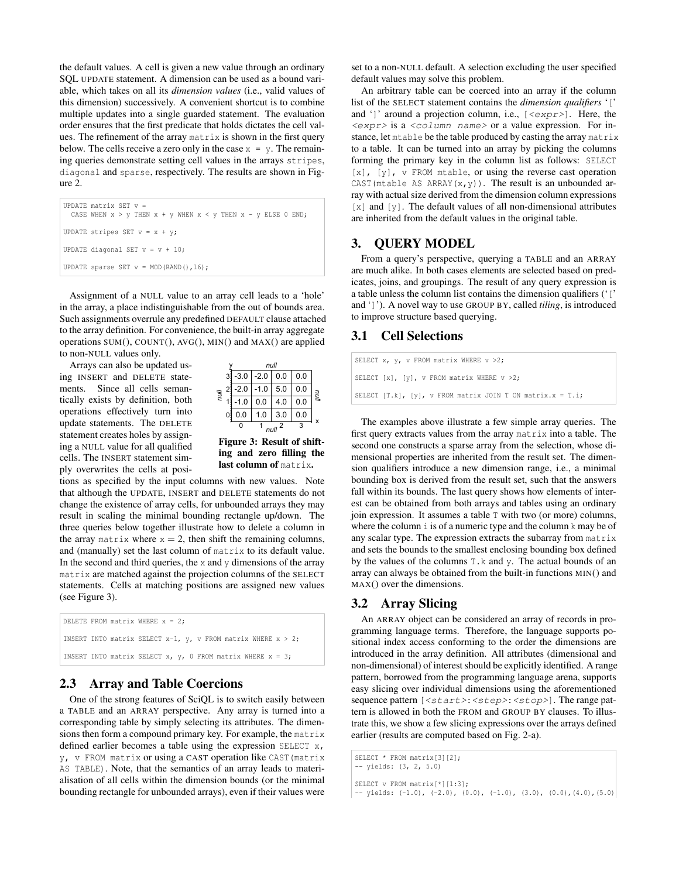the default values. A cell is given a new value through an ordinary SQL UPDATE statement. A dimension can be used as a bound variable, which takes on all its *dimension values* (i.e., valid values of this dimension) successively. A convenient shortcut is to combine multiple updates into a single guarded statement. The evaluation order ensures that the first predicate that holds dictates the cell values. The refinement of the array matrix is shown in the first query below. The cells receive a zero only in the case  $x = y$ . The remaining queries demonstrate setting cell values in the arrays stripes, diagonal and sparse, respectively. The results are shown in Figure 2.

UPDATE matrix SET v = CASE WHEN  $x > y$  THEN  $x + y$  WHEN  $x < y$  THEN  $x - y$  ELSE 0 END; UPDATE stripes SET  $v = x + v$ ; UPDATE diagonal SET  $v = v + 10$ ; UPDATE sparse SET  $v = MOD(RAND(), 16)$ ;

Assignment of a NULL value to an array cell leads to a 'hole' in the array, a place indistinguishable from the out of bounds area. Such assignments overrule any predefined DEFAULT clause attached to the array definition. For convenience, the built-in array aggregate operations SUM(), COUNT(), AVG(), MIN() and MAX() are applied to non-NULL values only.

Arrays can also be updated using INSERT and DELETE statements. Since all cells semantically exists by definition, both operations effectively turn into update statements. The DELETE statement creates holes by assigning a NULL value for all qualified cells. The INSERT statement simply overwrites the cells at posi-



ing and zero filling the last column of matrix.

tions as specified by the input columns with new values. Note that although the UPDATE, INSERT and DELETE statements do not change the existence of array cells, for unbounded arrays they may result in scaling the minimal bounding rectangle up/down. The three queries below together illustrate how to delete a column in the array matrix where  $x = 2$ , then shift the remaining columns, and (manually) set the last column of matrix to its default value. In the second and third queries, the  $x$  and  $y$  dimensions of the array matrix are matched against the projection columns of the SELECT statements. Cells at matching positions are assigned new values (see Figure 3).

```
DELETE FROM matrix WHERE x = 2;
INSERT INTO matrix SELECT x-1, y, v FROM matrix WHERE x > 2;
INSERT INTO matrix SELECT x, y, 0 FROM matrix WHERE x = 3;
```
# 2.3 Array and Table Coercions

One of the strong features of SciQL is to switch easily between a TABLE and an ARRAY perspective. Any array is turned into a corresponding table by simply selecting its attributes. The dimensions then form a compound primary key. For example, the matrix defined earlier becomes a table using the expression SELECT x, y, v FROM matrix or using a CAST operation like CAST(matrix AS TABLE). Note, that the semantics of an array leads to materialisation of all cells within the dimension bounds (or the minimal bounding rectangle for unbounded arrays), even if their values were

set to a non-NULL default. A selection excluding the user specified default values may solve this problem.

An arbitrary table can be coerced into an array if the column list of the SELECT statement contains the *dimension qualifiers* '[' and ']' around a projection column, i.e.,  $\lceil \langle \exp r \rangle \rceil$ . Here, the  $\langle \exp r \rangle$  is a  $\langle \co1$ umn name  $\rangle$  or a value expression. For instance, let mtable be the table produced by casting the array matrix to a table. It can be turned into an array by picking the columns forming the primary key in the column list as follows: SELECT [x], [y], v FROM mtable, or using the reverse cast operation CAST(mtable AS ARRAY( $x, y$ )). The result is an unbounded array with actual size derived from the dimension column expressions [x] and [y]. The default values of all non-dimensional attributes are inherited from the default values in the original table.

# 3. QUERY MODEL

From a query's perspective, querying a TABLE and an ARRAY are much alike. In both cases elements are selected based on predicates, joins, and groupings. The result of any query expression is a table unless the column list contains the dimension qualifiers ('[' and ']'). A novel way to use GROUP BY, called *tiling*, is introduced to improve structure based querying.

# 3.1 Cell Selections

| SELECT x, y, v FROM matrix WHERE v >2;                               |  |  |  |  |  |  |
|----------------------------------------------------------------------|--|--|--|--|--|--|
| SELECT [x], [y], v FROM matrix WHERE v >2;                           |  |  |  |  |  |  |
| SELECT $[T,k]$ , $[y]$ , v FROM matrix JOIN T ON matrix. $x = T$ .i; |  |  |  |  |  |  |

The examples above illustrate a few simple array queries. The first query extracts values from the array matrix into a table. The second one constructs a sparse array from the selection, whose dimensional properties are inherited from the result set. The dimension qualifiers introduce a new dimension range, i.e., a minimal bounding box is derived from the result set, such that the answers fall within its bounds. The last query shows how elements of interest can be obtained from both arrays and tables using an ordinary join expression. It assumes a table T with two (or more) columns, where the column  $\pm$  is of a numeric type and the column k may be of any scalar type. The expression extracts the subarray from matrix and sets the bounds to the smallest enclosing bounding box defined by the values of the columns T.k and y. The actual bounds of an array can always be obtained from the built-in functions MIN() and MAX() over the dimensions.

# 3.2 Array Slicing

An ARRAY object can be considered an array of records in programming language terms. Therefore, the language supports positional index access conforming to the order the dimensions are introduced in the array definition. All attributes (dimensional and non-dimensional) of interest should be explicitly identified. A range pattern, borrowed from the programming language arena, supports easy slicing over individual dimensions using the aforementioned sequence pattern [<start>:<step>:<stop>]. The range pattern is allowed in both the FROM and GROUP BY clauses. To illustrate this, we show a few slicing expressions over the arrays defined earlier (results are computed based on Fig. 2-a).

```
SELECT * FROM matrix[3][2];
-- yields: (3, 2, 5.0)
```

```
SELECT v FROM matrix[*][1:3];
```
 $-$  yields: (-1.0), (-2.0), (0.0), (-1.0), (3.0), (0.0), (4.0), (5.0)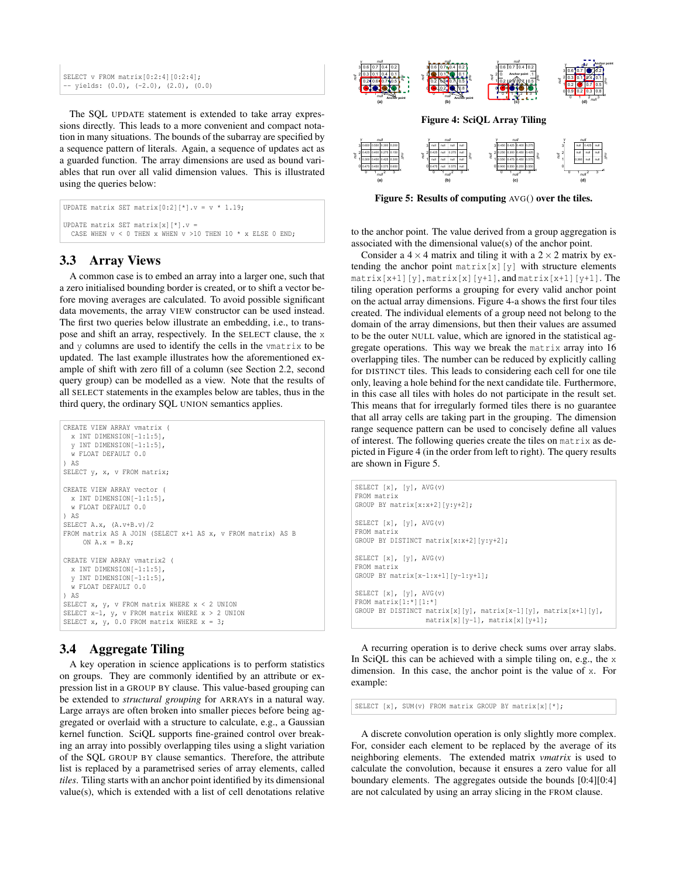```
SELECT v FROM matrix[0:2:4][0:2:4];
- yields: (0.0), (-2.0), (2.0), (0.0)
```
The SQL UPDATE statement is extended to take array expressions directly. This leads to a more convenient and compact notation in many situations. The bounds of the subarray are specified by a sequence pattern of literals. Again, a sequence of updates act as a guarded function. The array dimensions are used as bound variables that run over all valid dimension values. This is illustrated using the queries below:

```
UPDATE matrix SET matrix[0:2][*].v = v * 1.19;
UPDATE matrix SET matrix[x][*].v =
 CASE WHEN v < 0 THEN x WHEN v > 10 THEN 10 * x ELSE 0 END;
```
# 3.3 Array Views

A common case is to embed an array into a larger one, such that a zero initialised bounding border is created, or to shift a vector before moving averages are calculated. To avoid possible significant data movements, the array VIEW constructor can be used instead. The first two queries below illustrate an embedding, i.e., to transpose and shift an array, respectively. In the SELECT clause, the x and y columns are used to identify the cells in the vmatrix to be updated. The last example illustrates how the aforementioned example of shift with zero fill of a column (see Section 2.2, second query group) can be modelled as a view. Note that the results of all SELECT statements in the examples below are tables, thus in the third query, the ordinary SQL UNION semantics applies.

```
CREATE VIEW ARRAY vmatrix (
 x INT DIMENSION[-1:1:5],
 y INT DIMENSION[-1:1:5],
 w FLOAT DEFAULT 0.0
) AS
SELECT y, x, v FROM matrix;
CREATE VIEW ARRAY vector (
 x INT DIMENSION[-1:1:5],
 w FLOAT DEFAULT 0.0
) AS
SELECT A.x, (A.v+B.v)/2
FROM matrix AS A JOIN (SELECT x+1 AS x, v FROM matrix) AS B
    ON A, x = B, x;
CREATE VIEW ARRAY vmatrix2 (
 x INT DIMENSION[-1:1:5],
 y INT DIMENSION[-1:1:5],
 w FLOAT DEFAULT 0.0
) AS
SELECT x, y, v FROM matrix WHERE x < 2 UNION
SELECT x-1, y, v FROM matrix WHERE x > 2 UNION
SELECT x, y, 0.0 FROM matrix WHERE x = 3;
```
# 3.4 Aggregate Tiling

A key operation in science applications is to perform statistics on groups. They are commonly identified by an attribute or expression list in a GROUP BY clause. This value-based grouping can be extended to *structural grouping* for ARRAYs in a natural way. Large arrays are often broken into smaller pieces before being aggregated or overlaid with a structure to calculate, e.g., a Gaussian kernel function. SciQL supports fine-grained control over breaking an array into possibly overlapping tiles using a slight variation of the SQL GROUP BY clause semantics. Therefore, the attribute list is replaced by a parametrised series of array elements, called *tiles*. Tiling starts with an anchor point identified by its dimensional value(s), which is extended with a list of cell denotations relative



Figure 5: Results of computing AVG() over the tiles.

to the anchor point. The value derived from a group aggregation is associated with the dimensional value(s) of the anchor point.

Consider a  $4 \times 4$  matrix and tiling it with a  $2 \times 2$  matrix by extending the anchor point  $matrix[x][y]$  with structure elements  $matrix[x+1][y]$ ,  $matrix[x][y+1]$ , and  $matrix[x+1][y+1]$ . The tiling operation performs a grouping for every valid anchor point on the actual array dimensions. Figure 4-a shows the first four tiles created. The individual elements of a group need not belong to the domain of the array dimensions, but then their values are assumed to be the outer NULL value, which are ignored in the statistical aggregate operations. This way we break the matrix array into 16 overlapping tiles. The number can be reduced by explicitly calling for DISTINCT tiles. This leads to considering each cell for one tile only, leaving a hole behind for the next candidate tile. Furthermore, in this case all tiles with holes do not participate in the result set. This means that for irregularly formed tiles there is no guarantee that all array cells are taking part in the grouping. The dimension range sequence pattern can be used to concisely define all values of interest. The following queries create the tiles on matrix as depicted in Figure 4 (in the order from left to right). The query results are shown in Figure 5.

```
SELECT\left[\begin{smallmatrix} \texttt{X} \end{smallmatrix}\right], \left[\begin{smallmatrix} \texttt{Y} \end{smallmatrix}\right], \texttt{AVG} \left(\texttt{v}\right)FROM matrix
GROUP BY matrix[x:x+2][y:y+2];
\texttt{SELECT } [\texttt{x}], \; [\texttt{y}], \; \texttt{AVG} \left( \texttt{v} \right)FROM matrix
GROUP BY DISTINCT matrix[x:x+2][y:y+2];
SELECT [x], [y], AVG(v)
FROM matrix
GROUP BY matrix[x-1:x+1][y-1:y+1];
SELECT [x], [y], AVG(v)
FROM matrix[1:*][1:*]
GROUP BY DISTINCT matrix[x][y], matrix[x-1][y], matrix[x+1][y],
                             matrix[x][y-1], matrix[x][y+1];
```
A recurring operation is to derive check sums over array slabs. In SciQL this can be achieved with a simple tiling on, e.g., the x dimension. In this case, the anchor point is the value of x. For example:

SELECT [x], SUM(v) FROM matrix GROUP BY matrix[x][\*];

A discrete convolution operation is only slightly more complex. For, consider each element to be replaced by the average of its neighboring elements. The extended matrix *vmatrix* is used to calculate the convolution, because it ensures a zero value for all boundary elements. The aggregates outside the bounds [0:4][0:4] are not calculated by using an array slicing in the FROM clause.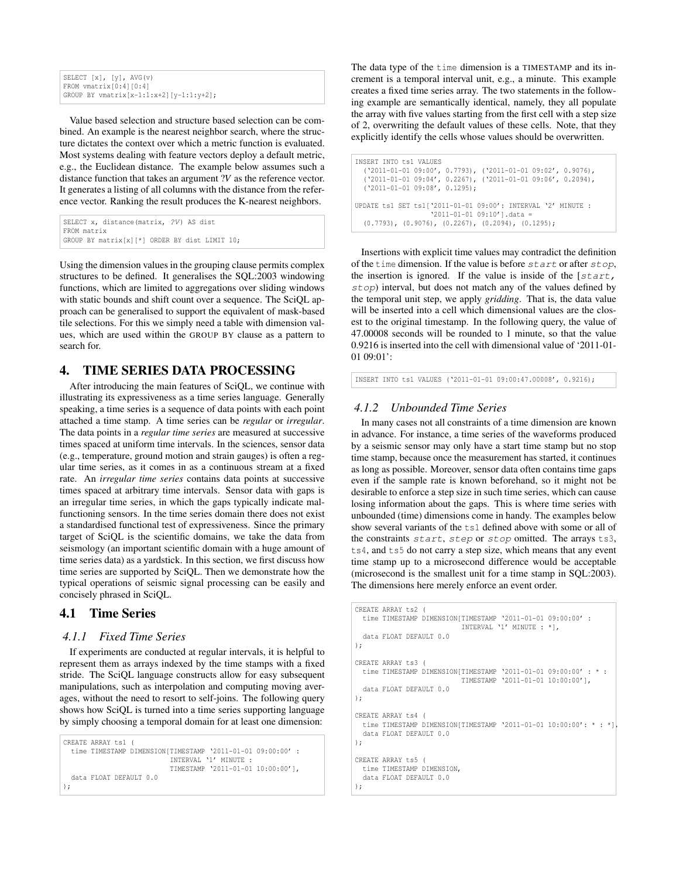SELECT  $[x], [y], NFG(v)$ FROM vmatrix[0:4][0:4] GROUP BY vmatrix[x-1:1:x+2][y-1:1:y+2];

Value based selection and structure based selection can be combined. An example is the nearest neighbor search, where the structure dictates the context over which a metric function is evaluated. Most systems dealing with feature vectors deploy a default metric, e.g., the Euclidean distance. The example below assumes such a distance function that takes an argument ?*V* as the reference vector. It generates a listing of all columns with the distance from the reference vector. Ranking the result produces the K-nearest neighbors.

```
SELECT x, distance(matrix, ?V) AS dist
FROM matrix
GROUP BY matrix[x][*] ORDER BY dist LIMIT 10;
```
Using the dimension values in the grouping clause permits complex structures to be defined. It generalises the SQL:2003 windowing functions, which are limited to aggregations over sliding windows with static bounds and shift count over a sequence. The SciQL approach can be generalised to support the equivalent of mask-based tile selections. For this we simply need a table with dimension values, which are used within the GROUP BY clause as a pattern to search for.

#### 4. TIME SERIES DATA PROCESSING

After introducing the main features of SciQL, we continue with illustrating its expressiveness as a time series language. Generally speaking, a time series is a sequence of data points with each point attached a time stamp. A time series can be *regular* or *irregular*. The data points in a *regular time series* are measured at successive times spaced at uniform time intervals. In the sciences, sensor data (e.g., temperature, ground motion and strain gauges) is often a regular time series, as it comes in as a continuous stream at a fixed rate. An *irregular time series* contains data points at successive times spaced at arbitrary time intervals. Sensor data with gaps is an irregular time series, in which the gaps typically indicate malfunctioning sensors. In the time series domain there does not exist a standardised functional test of expressiveness. Since the primary target of SciQL is the scientific domains, we take the data from seismology (an important scientific domain with a huge amount of time series data) as a yardstick. In this section, we first discuss how time series are supported by SciQL. Then we demonstrate how the typical operations of seismic signal processing can be easily and concisely phrased in SciQL.

# 4.1 Time Series

#### *4.1.1 Fixed Time Series*

If experiments are conducted at regular intervals, it is helpful to represent them as arrays indexed by the time stamps with a fixed stride. The SciQL language constructs allow for easy subsequent manipulations, such as interpolation and computing moving averages, without the need to resort to self-joins. The following query shows how SciQL is turned into a time series supporting language by simply choosing a temporal domain for at least one dimension:

```
CREATE ARRAY ts1 (
 time TIMESTAMP DIMENSION[TIMESTAMP '2011-01-01 09:00:00' :
                           INTERVAL '1' MINUTE :
                           TIMESTAMP '2011-01-01 10:00:00'],
 data FLOAT DEFAULT 0.0
);
```
The data type of the time dimension is a TIMESTAMP and its increment is a temporal interval unit, e.g., a minute. This example creates a fixed time series array. The two statements in the following example are semantically identical, namely, they all populate the array with five values starting from the first cell with a step size of 2, overwriting the default values of these cells. Note, that they explicitly identify the cells whose values should be overwritten.

```
INSERT INTO ts1 VALUES
  ('2011-01-01 09:00', 0.7793), ('2011-01-01 09:02', 0.9076),
  ('2011-01-01 09:04', 0.2267), ('2011-01-01 09:06', 0.2094),
  ('2011-01-01 09:08', 0.1295);
UPDATE ts1 SET ts1['2011-01-01 09:00': INTERVAL '2' MINUTE :
                   '2011-01-01 09:10'].data =
  (0.7793), (0.9076), (0.2267), (0.2094), (0.1295);
```
Insertions with explicit time values may contradict the definition of the time dimension. If the value is before start or after stop, the insertion is ignored. If the value is inside of the [start, stop) interval, but does not match any of the values defined by the temporal unit step, we apply *gridding*. That is, the data value will be inserted into a cell which dimensional values are the closest to the original timestamp. In the following query, the value of 47.00008 seconds will be rounded to 1 minute, so that the value 0.9216 is inserted into the cell with dimensional value of '2011-01- 01 09:01':

INSERT INTO ts1 VALUES ('2011-01-01 09:00:47.00008', 0.9216);

#### *4.1.2 Unbounded Time Series*

In many cases not all constraints of a time dimension are known in advance. For instance, a time series of the waveforms produced by a seismic sensor may only have a start time stamp but no stop time stamp, because once the measurement has started, it continues as long as possible. Moreover, sensor data often contains time gaps even if the sample rate is known beforehand, so it might not be desirable to enforce a step size in such time series, which can cause losing information about the gaps. This is where time series with unbounded (time) dimensions come in handy. The examples below show several variants of the ts1 defined above with some or all of the constraints start, step or stop omitted. The arrays ts3, ts4, and ts5 do not carry a step size, which means that any event time stamp up to a microsecond difference would be acceptable (microsecond is the smallest unit for a time stamp in SQL:2003). The dimensions here merely enforce an event order.

```
CREATE ARRAY ts2 (
 time TIMESTAMP DIMENSION[TIMESTAMP '2011-01-01 09:00:00' :
                           INTERVAL '1' MINUTE : *],
 data FLOAT DEFAULT 0.0
);
CREATE ARRAY ts3 (
 time TIMESTAMP DIMENSION[TIMESTAMP '2011-01-01 09:00:00' : * :
                           TIMESTAMP '2011-01-01 10:00:00'],
 data FLOAT DEFAULT 0.0
);
CREATE ARRAY ts4 (
 time TIMESTAMP DIMENSION[TIMESTAMP '2011-01-01 10:00:00': * : *],
 data FLOAT DEFAULT 0.0
);
CREATE ARRAY ts5 (
 time TIMESTAMP DIMENSION,
 data FLOAT DEFAULT 0.0
);
```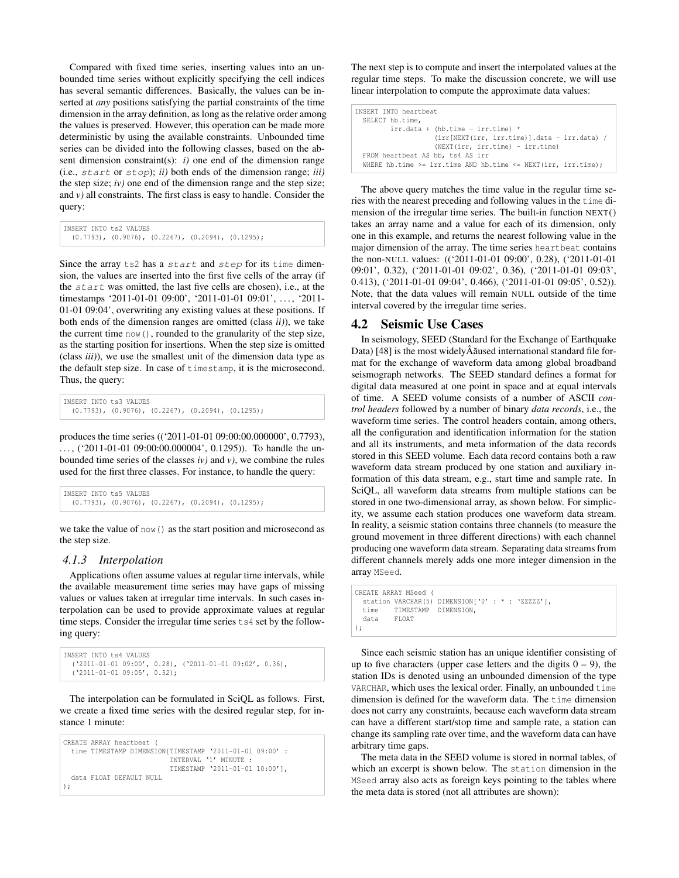Compared with fixed time series, inserting values into an unbounded time series without explicitly specifying the cell indices has several semantic differences. Basically, the values can be inserted at *any* positions satisfying the partial constraints of the time dimension in the array definition, as long as the relative order among the values is preserved. However, this operation can be made more deterministic by using the available constraints. Unbounded time series can be divided into the following classes, based on the absent dimension constraint(s): *i)* one end of the dimension range (i.e., start or stop); *ii)* both ends of the dimension range; *iii)* the step size; *iv)* one end of the dimension range and the step size; and  $v$ ) all constraints. The first class is easy to handle. Consider the query:

```
INSERT INTO ts2 VALUES
  (0.7793), (0.9076), (0.2267), (0.2094), (0.1295);
```
Since the array ts2 has a start and step for its time dimension, the values are inserted into the first five cells of the array (if the start was omitted, the last five cells are chosen), i.e., at the timestamps '2011-01-01 09:00', '2011-01-01 09:01', ..., '2011-01-01 09:04', overwriting any existing values at these positions. If both ends of the dimension ranges are omitted (class *ii)*), we take the current time now(), rounded to the granularity of the step size, as the starting position for insertions. When the step size is omitted (class *iii)*), we use the smallest unit of the dimension data type as the default step size. In case of timestamp, it is the microsecond. Thus, the query:

```
INSERT INTO ts3 VALUES
  (0.7793), (0.9076), (0.2267), (0.2094), (0.1295);
```
produces the time series (('2011-01-01 09:00:00.000000', 0.7793), ..., ('2011-01-01 09:00:00.000004', 0.1295)). To handle the unbounded time series of the classes  $iv$ ) and  $v$ ), we combine the rules used for the first three classes. For instance, to handle the query:

```
INSERT INTO ts5 VALUES
  (0.7793), (0.9076), (0.2267), (0.2094), (0.1295);
```
we take the value of now() as the start position and microsecond as the step size.

#### *4.1.3 Interpolation*

Applications often assume values at regular time intervals, while the available measurement time series may have gaps of missing values or values taken at irregular time intervals. In such cases interpolation can be used to provide approximate values at regular time steps. Consider the irregular time series  $ts4$  set by the following query:

```
INSERT INTO ts4 VALUES
  ('2011-01-01 09:00', 0.28), ('2011-01-01 09:02', 0.36),
  ('2011-01-01 09:05', 0.52);
```
The interpolation can be formulated in SciQL as follows. First, we create a fixed time series with the desired regular step, for instance 1 minute:

```
CREATE ARRAY heartbeat (
 time TIMESTAMP DIMENSION[TIMESTAMP '2011-01-01 09:00' :
                           INTERVAL '1' MINUTE :
                           TIMESTAMP '2011-01-01 10:00'],
 data FLOAT DEFAULT NULL
);
```
The next step is to compute and insert the interpolated values at the regular time steps. To make the discussion concrete, we will use linear interpolation to compute the approximate data values:

```
INSERT INTO heartbeat
 SELECT hb.time,<br>irr.data +
                    (hb.time - irr.time)(irr[NEXT(irr, irr.time)].data - irr.data) /
                     (NEXT(irr, irr.time) - irr.time)
 FROM heartbeat AS hb, ts4 AS irr
  WHERE hb.time >= irr.time AND hb.time <= NEXT(irr, irr.time);
```
The above query matches the time value in the regular time series with the nearest preceding and following values in the time dimension of the irregular time series. The built-in function NEXT() takes an array name and a value for each of its dimension, only one in this example, and returns the nearest following value in the major dimension of the array. The time series heartbeat contains the non-NULL values: (('2011-01-01 09:00', 0.28), ('2011-01-01 09:01', 0.32), ('2011-01-01 09:02', 0.36), ('2011-01-01 09:03', 0.413), ('2011-01-01 09:04', 0.466), ('2011-01-01 09:05', 0.52)). Note, that the data values will remain NULL outside of the time interval covered by the irregular time series.

#### 4.2 Seismic Use Cases

In seismology, SEED (Standard for the Exchange of Earthquake Data)  $[48]$  is the most widely $\hat{A}$  aused international standard file format for the exchange of waveform data among global broadband seismograph networks. The SEED standard defines a format for digital data measured at one point in space and at equal intervals of time. A SEED volume consists of a number of ASCII *control headers* followed by a number of binary *data records*, i.e., the waveform time series. The control headers contain, among others, all the configuration and identification information for the station and all its instruments, and meta information of the data records stored in this SEED volume. Each data record contains both a raw waveform data stream produced by one station and auxiliary information of this data stream, e.g., start time and sample rate. In SciQL, all waveform data streams from multiple stations can be stored in one two-dimensional array, as shown below. For simplicity, we assume each station produces one waveform data stream. In reality, a seismic station contains three channels (to measure the ground movement in three different directions) with each channel producing one waveform data stream. Separating data streams from different channels merely adds one more integer dimension in the array MSeed.

```
CREATE ARRAY MSeed (
 station VARCHAR(5) DIMENSION['0' : * : 'ZZZZZ'],
 time TIMESTAMP DIMENSION,
 data FLOAT
);
```
Since each seismic station has an unique identifier consisting of up to five characters (upper case letters and the digits  $0 - 9$ ), the station IDs is denoted using an unbounded dimension of the type VARCHAR, which uses the lexical order. Finally, an unbounded time dimension is defined for the waveform data. The time dimension does not carry any constraints, because each waveform data stream can have a different start/stop time and sample rate, a station can change its sampling rate over time, and the waveform data can have arbitrary time gaps.

The meta data in the SEED volume is stored in normal tables, of which an excerpt is shown below. The station dimension in the MSeed array also acts as foreign keys pointing to the tables where the meta data is stored (not all attributes are shown):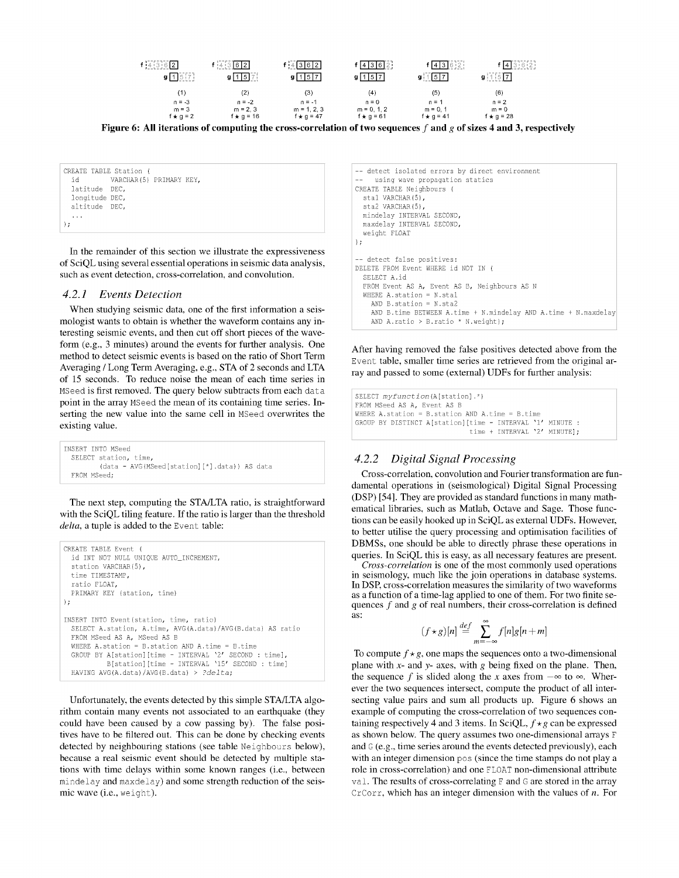| 14362           | f:4:3[6]2       | 4362             | 14362            | 14362              | 143.62          |
|-----------------|-----------------|------------------|------------------|--------------------|-----------------|
| $g$ 1 $517$     | g[1]57          | ا 15 ت<br>91 1   | g 1 5 7          | $\sqrt{577}$<br>gi | $15$ 7<br>g i 1 |
| (1)             | (2)             | (3)              | (4)              | (5)                | (6)             |
| $n = -3$        | $n = -2$        | $n = -1$         | $n = 0$          | $n = 1$            | $n = 2$         |
| $m = 3$         | $m = 2.3$       | $m = 1, 2, 3$    | $m = 0, 1, 2$    | $m = 0.1$          | $m = 0$         |
| $f \star g = 2$ | f $\div$ g = 16 | f $\star$ g = 47 | f $\star$ g = 61 | f $\star$ g = 41   | $f * g = 28$    |

Figure 6: All iterations of computing the cross-correlation of two sequences  $f$  and  $g$  of sizes 4 and 3, respectively

CREATE TABLE Station ( VARCHAR (5) PRIMARY KEY, id latitude DEC, longitude DEC. altitude DEC.  $\mathbf{H}$ 

In the remainder of this section we illustrate the expressiveness of SciQL using several essential operations in seismic data analysis, such as event detection, cross-correlation, and convolution.

#### $4.2.1$ **Events Detection**

When studying seismic data, one of the first information a seismologist wants to obtain is whether the waveform contains any interesting seismic events, and then cut off short pieces of the waveform (e.g., 3 minutes) around the events for further analysis. One method to detect seismic events is based on the ratio of Short Term Averaging / Long Term Averaging, e.g., STA of 2 seconds and LTA of 15 seconds. To reduce noise the mean of each time series in MSeed is first removed. The query below subtracts from each data point in the array MSeed the mean of its containing time series. Inserting the new value into the same cell in MSeed overwrites the existing value.

```
INSERT INTO MSeed
 SELECT station, time,
         (data - AVG (MSeed [station] [*].data)) AS data
 FROM MSeed;
```
The next step, computing the STA/LTA ratio, is straightforward with the SciQL tiling feature. If the ratio is larger than the threshold delta, a tuple is added to the Event table:

```
CREATE TABLE Event (
 id INT NOT NULL UNIQUE AUTO_INCREMENT,
 station VARCHAR(5).
 time TIMESTAMP.
 ratio FLOAT.
 PRIMARY KEY (station, time)
\mathcal{E}INSERT INTO Event (station, time, ratio)
 SELECT A.station, A.time, AVG(A.data)/AVG(B.data) AS ratio
 FROM MSeed AS A, MSeed AS B
 WHERE A.station = B.station AND A.time = B.time
 GROUP BY A[station] [time - INTERVAL '2' SECOND : time],
           B[station][time - INTERVAL '15' SECOND : time]
 HAVING AVG(A.data)/AVG(B.data) > ?delta;
```
Unfortunately, the events detected by this simple STA/LTA algorithm contain many events not associated to an earthquake (they could have been caused by a cow passing by). The false positives have to be filtered out. This can be done by checking events detected by neighbouring stations (see table Neighbours below), because a real seismic event should be detected by multiple stations with time delays within some known ranges (i.e., between mindelay and maxdelay) and some strength reduction of the seismic wave (i.e., weight).

```
-- detect isolated errors by direct environment
   using wave propagation statics
CREATE TABLE Neighbours (
  stal VARCHAR(5),
  sta2 VARCHAR(5).
  mindelay INTERVAL SECOND,
  maxdelay INTERVAL SECOND,
  weight FLOAT
\mathcal{E}-- detect false positives:
DELETE FROM Event WHERE id NOT IN (
  SELECT A.id
  FROM Event AS A, Event AS B, Neighbours AS N
  WHERE A.station = N.stal
    AND B.\text{station} = N.\text{sta2}AND B.time BETWEEN A.time + N.mindelay AND A.time + N.maxdelay
    AND A. ratio > B. ratio * N. weight):
```
After having removed the false positives detected above from the Event table, smaller time series are retrieved from the original array and passed to some (external) UDFs for further analysis:

```
SELECT myfunction(A[station].*)
FROM MSeed AS A, Event AS B
WHERE A.station = B.station AND A.time = B.time
GROUP BY DISTINCT A[station][time - INTERVAL '1' MINUTE :<br>GROUP BY DISTINCT A[station][time - INTERVAL '2' MINUTE];
```
#### 4.2.2 Digital Signal Processing

Cross-correlation, convolution and Fourier transformation are fundamental operations in (seismological) Digital Signal Processing (DSP) [54]. They are provided as standard functions in many mathematical libraries, such as Matlab, Octave and Sage. Those functions can be easily hooked up in SciQL as external UDFs. However, to better utilise the query processing and optimisation facilities of DBMSs, one should be able to directly phrase these operations in queries. In SciQL this is easy, as all necessary features are present.

Cross-correlation is one of the most commonly used operations in seismology, much like the join operations in database systems. In DSP, cross-correlation measures the similarity of two waveforms as a function of a time-lag applied to one of them. For two finite sequences  $f$  and  $g$  of real numbers, their cross-correlation is defined as:

$$
(f \star g)[n] \stackrel{def}{=} \sum_{m=-\infty}^{\infty} f[n]g[n+m]
$$

To compute  $f \star g$ , one maps the sequences onto a two-dimensional plane with  $x$ - and  $y$ - axes, with  $g$  being fixed on the plane. Then, the sequence f is slided along the x axes from  $-\infty$  to  $\infty$ . Wherever the two sequences intersect, compute the product of all intersecting value pairs and sum all products up. Figure 6 shows an example of computing the cross-correlation of two sequences containing respectively 4 and 3 items. In SciQL,  $f \star g$  can be expressed as shown below. The query assumes two one-dimensional arrays F and G (e.g., time series around the events detected previously), each with an integer dimension pos (since the time stamps do not play a role in cross-correlation) and one FLOAT non-dimensional attribute val. The results of cross-correlating F and G are stored in the array CrCorr, which has an integer dimension with the values of  $n$ . For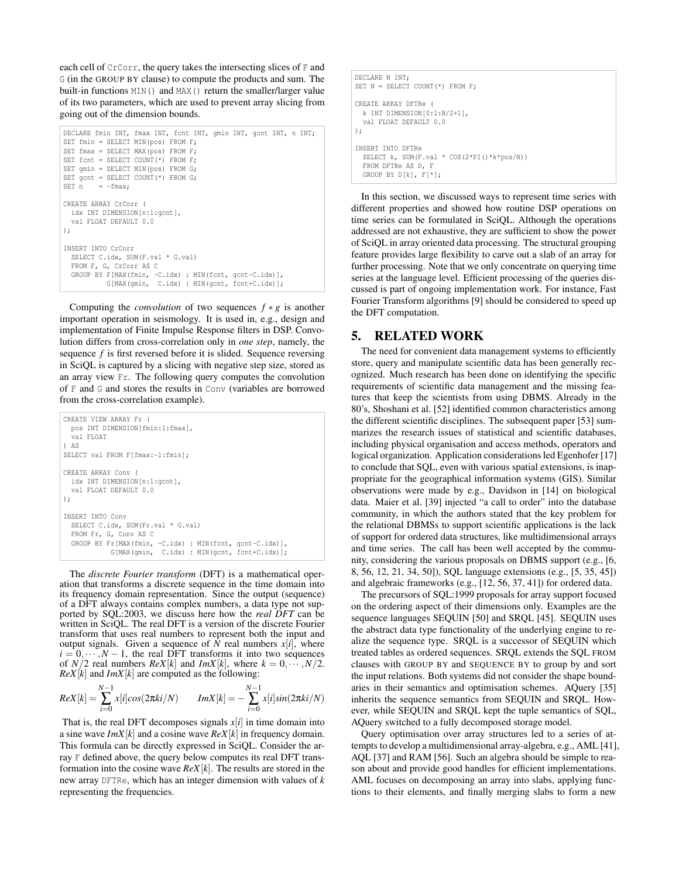each cell of CrCorr, the query takes the intersecting slices of F and G (in the GROUP BY clause) to compute the products and sum. The built-in functions MIN() and MAX() return the smaller/larger value of its two parameters, which are used to prevent array slicing from going out of the dimension bounds.

```
DECLARE fmin INT, fmax INT, fcnt INT, gmin INT, gcnt INT, n INT;
SET fmin = SELECT MIN(pos) FROM F;
SET fmax = SELECT MAX(pos) FROM F;
SET fcnt = SELECT COUNT(*) FROM F;
SET gmin = SELECT MIN(pos) FROM G;
SET gcnt = SELECT COUNT(*) FROM G;
SET n = -fmax:CREATE ARRAY CrCorr (
 idx INT DIMENSION[n:1:gcnt],
 val FLOAT DEFAULT 0.0
);
INSERT INTO CrCorr
 SELECT C.idx, SUM(F.val * G.val)
  FROM F, G, CrCorr AS C
 GROUP BY F[MAX(fmin, -C.idx) : MIN(fcnt, gcnt-C.idx)],
           G[MAX(gmin, C.idx) : MIN(gcnt, fcnt+C.idx)];
```
Computing the *convolution* of two sequences *f* ∗ *g* is another important operation in seismology. It is used in, e.g., design and implementation of Finite Impulse Response filters in DSP. Convolution differs from cross-correlation only in *one step*, namely, the sequence *f* is first reversed before it is slided. Sequence reversing in SciQL is captured by a slicing with negative step size, stored as an array view Fr. The following query computes the convolution of F and G and stores the results in Conv (variables are borrowed from the cross-correlation example).

```
CREATE VIEW ARRAY Fr (
 pos INT DIMENSION[fmin:1:fmax],
 val FLOAT
) AS
SELECT val FROM F[fmax:-1:fmin];
CREATE ARRAY Conv (
 idx INT DIMENSION[n:1:gcnt],
 val FLOAT DEFAULT 0.0
);
INSERT INTO Conv
 SELECT C.idx, SUM(Fr.val * G.val)
 FROM Fr, G, Conv AS C
 GROUP BY Fr[MAX(fmin, -C.idx) : MIN(fcnt, gcnt-C.idx)],
           G[MAX(gmin, C.idx) : MIN(gcnt, fcnt+C.idx)];
```
The *discrete Fourier transform* (DFT) is a mathematical operation that transforms a discrete sequence in the time domain into its frequency domain representation. Since the output (sequence) of a DFT always contains complex numbers, a data type not supported by SQL:2003, we discuss here how the *real DFT* can be written in SciQL. The real DFT is a version of the discrete Fourier transform that uses real numbers to represent both the input and output signals. Given a sequence of  $\tilde{N}$  real numbers  $x[i]$ , where  $i = 0, \dots, N-1$ , the real DFT transforms it into two sequences of  $N/2$  real numbers  $ReX[k]$  and  $ImX[k]$ , where  $k = 0, \dots, N/2$ .  $ReX[k]$  and  $ImX[k]$  are computed as the following:

$$
ReX[k] = \sum_{i=0}^{N-1} x[i]cos(2\pi ki/N) \qquad ImX[k] = -\sum_{i=0}^{N-1} x[i]sin(2\pi ki/N)
$$

That is, the real DFT decomposes signals  $x[i]$  in time domain into a sine wave *ImX*[*k*] and a cosine wave *ReX*[*k*] in frequency domain. This formula can be directly expressed in SciQL. Consider the array F defined above, the query below computes its real DFT transformation into the cosine wave *ReX*[*k*]. The results are stored in the new array DFTRe, which has an integer dimension with values of *k* representing the frequencies.

```
DECLARE N INT;
SET N = SELECT COUNT(*) FROM F;
CREATE ARRAY DFTRe (
 k INT DIMENSION[0:1:N/2+1],
 val FLOAT DEFAULT 0.0
);
INSERT INTO DFTRe
 SELECT k, SUM(F.val * COS(2*PI()*k*pos/N))
 FROM DFTRe AS D, F
 GROUP BY D[k], F[*];
```
In this section, we discussed ways to represent time series with different properties and showed how routine DSP operations on time series can be formulated in SciQL. Although the operations addressed are not exhaustive, they are sufficient to show the power of SciQL in array oriented data processing. The structural grouping feature provides large flexibility to carve out a slab of an array for further processing. Note that we only concentrate on querying time series at the language level. Efficient processing of the queries discussed is part of ongoing implementation work. For instance, Fast Fourier Transform algorithms [9] should be considered to speed up the DFT computation.

# 5. RELATED WORK

The need for convenient data management systems to efficiently store, query and manipulate scientific data has been generally recognized. Much research has been done on identifying the specific requirements of scientific data management and the missing features that keep the scientists from using DBMS. Already in the 80's, Shoshani et al. [52] identified common characteristics among the different scientific disciplines. The subsequent paper [53] summarizes the research issues of statistical and scientific databases, including physical organisation and access methods, operators and logical organization. Application considerations led Egenhofer [17] to conclude that SQL, even with various spatial extensions, is inappropriate for the geographical information systems (GIS). Similar observations were made by e.g., Davidson in [14] on biological data. Maier et al. [39] injected "a call to order" into the database community, in which the authors stated that the key problem for the relational DBMSs to support scientific applications is the lack of support for ordered data structures, like multidimensional arrays and time series. The call has been well accepted by the community, considering the various proposals on DBMS support (e.g., [6, 8, 56, 12, 21, 34, 50]), SQL language extensions (e.g., [5, 35, 45]) and algebraic frameworks (e.g., [12, 56, 37, 41]) for ordered data.

The precursors of SQL:1999 proposals for array support focused on the ordering aspect of their dimensions only. Examples are the sequence languages SEQUIN [50] and SRQL [45]. SEQUIN uses the abstract data type functionality of the underlying engine to realize the sequence type. SRQL is a successor of SEQUIN which treated tables as ordered sequences. SRQL extends the SQL FROM clauses with GROUP BY and SEQUENCE BY to group by and sort the input relations. Both systems did not consider the shape boundaries in their semantics and optimisation schemes. AQuery [35] inherits the sequence semantics from SEQUIN and SRQL. However, while SEQUIN and SRQL kept the tuple semantics of SQL, AQuery switched to a fully decomposed storage model.

Query optimisation over array structures led to a series of attempts to develop a multidimensional array-algebra, e.g., AML [41], AQL [37] and RAM [56]. Such an algebra should be simple to reason about and provide good handles for efficient implementations. AML focuses on decomposing an array into slabs, applying functions to their elements, and finally merging slabs to form a new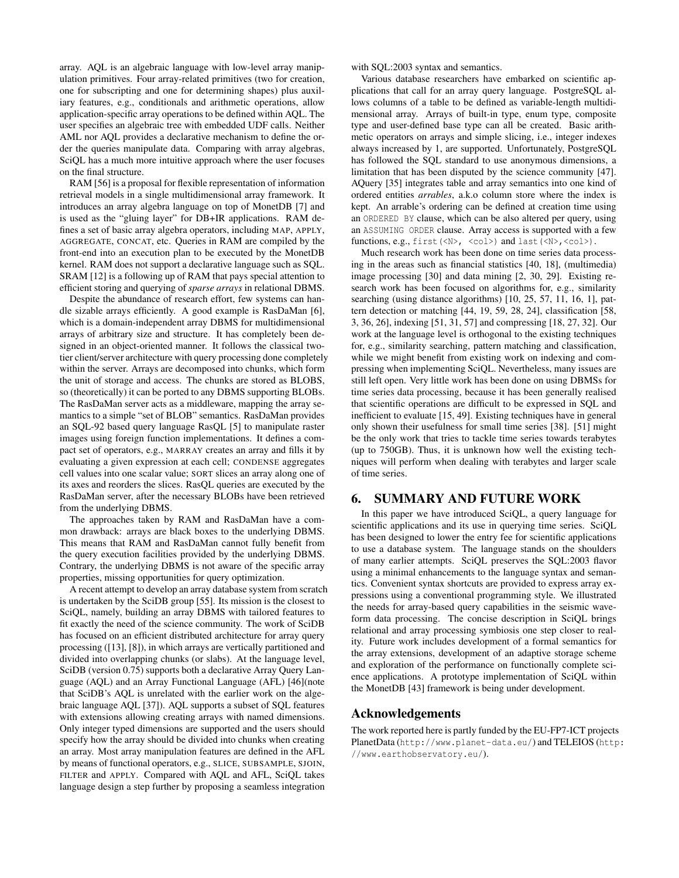array. AQL is an algebraic language with low-level array manipulation primitives. Four array-related primitives (two for creation, one for subscripting and one for determining shapes) plus auxiliary features, e.g., conditionals and arithmetic operations, allow application-specific array operations to be defined within AQL. The user specifies an algebraic tree with embedded UDF calls. Neither AML nor AQL provides a declarative mechanism to define the order the queries manipulate data. Comparing with array algebras, SciQL has a much more intuitive approach where the user focuses on the final structure.

RAM [56] is a proposal for flexible representation of information retrieval models in a single multidimensional array framework. It introduces an array algebra language on top of MonetDB [7] and is used as the "gluing layer" for DB+IR applications. RAM defines a set of basic array algebra operators, including MAP, APPLY, AGGREGATE, CONCAT, etc. Queries in RAM are compiled by the front-end into an execution plan to be executed by the MonetDB kernel. RAM does not support a declarative language such as SQL. SRAM [12] is a following up of RAM that pays special attention to efficient storing and querying of *sparse arrays* in relational DBMS.

Despite the abundance of research effort, few systems can handle sizable arrays efficiently. A good example is RasDaMan [6], which is a domain-independent array DBMS for multidimensional arrays of arbitrary size and structure. It has completely been designed in an object-oriented manner. It follows the classical twotier client/server architecture with query processing done completely within the server. Arrays are decomposed into chunks, which form the unit of storage and access. The chunks are stored as BLOBS, so (theoretically) it can be ported to any DBMS supporting BLOBs. The RasDaMan server acts as a middleware, mapping the array semantics to a simple "set of BLOB" semantics. RasDaMan provides an SQL-92 based query language RasQL [5] to manipulate raster images using foreign function implementations. It defines a compact set of operators, e.g., MARRAY creates an array and fills it by evaluating a given expression at each cell; CONDENSE aggregates cell values into one scalar value; SORT slices an array along one of its axes and reorders the slices. RasQL queries are executed by the RasDaMan server, after the necessary BLOBs have been retrieved from the underlying DBMS.

The approaches taken by RAM and RasDaMan have a common drawback: arrays are black boxes to the underlying DBMS. This means that RAM and RasDaMan cannot fully benefit from the query execution facilities provided by the underlying DBMS. Contrary, the underlying DBMS is not aware of the specific array properties, missing opportunities for query optimization.

A recent attempt to develop an array database system from scratch is undertaken by the SciDB group [55]. Its mission is the closest to SciQL, namely, building an array DBMS with tailored features to fit exactly the need of the science community. The work of SciDB has focused on an efficient distributed architecture for array query processing ([13], [8]), in which arrays are vertically partitioned and divided into overlapping chunks (or slabs). At the language level, SciDB (version 0.75) supports both a declarative Array Query Language (AQL) and an Array Functional Language (AFL) [46](note that SciDB's AQL is unrelated with the earlier work on the algebraic language AQL [37]). AQL supports a subset of SQL features with extensions allowing creating arrays with named dimensions. Only integer typed dimensions are supported and the users should specify how the array should be divided into chunks when creating an array. Most array manipulation features are defined in the AFL by means of functional operators, e.g., SLICE, SUBSAMPLE, SJOIN, FILTER and APPLY. Compared with AQL and AFL, SciQL takes language design a step further by proposing a seamless integration

with SQL:2003 syntax and semantics.

Various database researchers have embarked on scientific applications that call for an array query language. PostgreSQL allows columns of a table to be defined as variable-length multidimensional array. Arrays of built-in type, enum type, composite type and user-defined base type can all be created. Basic arithmetic operators on arrays and simple slicing, i.e., integer indexes always increased by 1, are supported. Unfortunately, PostgreSQL has followed the SQL standard to use anonymous dimensions, a limitation that has been disputed by the science community [47]. AQuery [35] integrates table and array semantics into one kind of ordered entities *arrables*, a.k.o column store where the index is kept. An arrable's ordering can be defined at creation time using an ORDERED BY clause, which can be also altered per query, using an ASSUMING ORDER clause. Array access is supported with a few functions, e.g., first(<N>, <col>) and last(<N>, <col>).

Much research work has been done on time series data processing in the areas such as financial statistics [40, 18], (multimedia) image processing [30] and data mining [2, 30, 29]. Existing research work has been focused on algorithms for, e.g., similarity searching (using distance algorithms) [10, 25, 57, 11, 16, 1], pattern detection or matching [44, 19, 59, 28, 24], classification [58, 3, 36, 26], indexing [51, 31, 57] and compressing [18, 27, 32]. Our work at the language level is orthogonal to the existing techniques for, e.g., similarity searching, pattern matching and classification, while we might benefit from existing work on indexing and compressing when implementing SciQL. Nevertheless, many issues are still left open. Very little work has been done on using DBMSs for time series data processing, because it has been generally realised that scientific operations are difficult to be expressed in SQL and inefficient to evaluate [15, 49]. Existing techniques have in general only shown their usefulness for small time series [38]. [51] might be the only work that tries to tackle time series towards terabytes (up to 750GB). Thus, it is unknown how well the existing techniques will perform when dealing with terabytes and larger scale of time series.

# 6. SUMMARY AND FUTURE WORK

In this paper we have introduced SciQL, a query language for scientific applications and its use in querying time series. SciQL has been designed to lower the entry fee for scientific applications to use a database system. The language stands on the shoulders of many earlier attempts. SciQL preserves the SQL:2003 flavor using a minimal enhancements to the language syntax and semantics. Convenient syntax shortcuts are provided to express array expressions using a conventional programming style. We illustrated the needs for array-based query capabilities in the seismic waveform data processing. The concise description in SciQL brings relational and array processing symbiosis one step closer to reality. Future work includes development of a formal semantics for the array extensions, development of an adaptive storage scheme and exploration of the performance on functionally complete science applications. A prototype implementation of SciQL within the MonetDB [43] framework is being under development.

# Acknowledgements

The work reported here is partly funded by the EU-FP7-ICT projects PlanetData (http://www.planet-data.eu/) and TELEIOS (http: //www.earthobservatory.eu/).